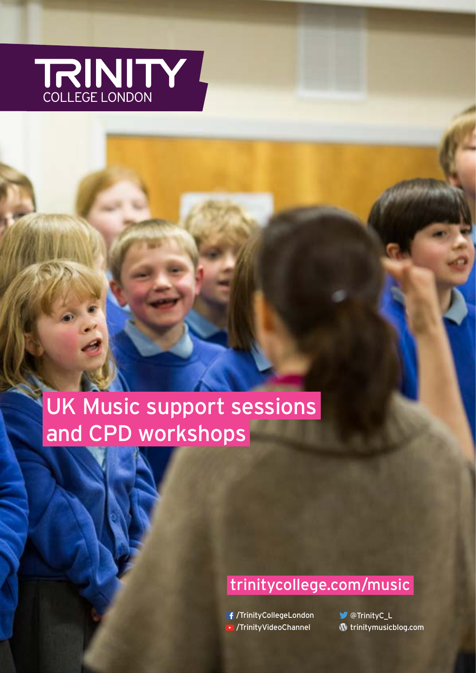

# UK Music support sessions and CPD workshops

# trinitycollege.com/music

/TrinityCollegeLondon /TrinityVideoChannel

**W** @TrinityC\_L trinitymusicblog.com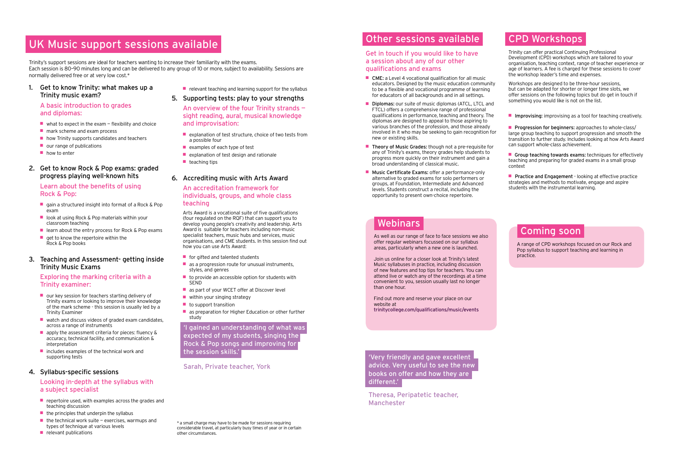# UK Music support sessions available

#### 1. Get to know Trinity: what makes up a Trinity music exam?

#### A basic introduction to grades and diplomas:

- $\blacksquare$  what to expect in the exam  $\blacksquare$  flexibility and choice
- mark scheme and exam process
- how Trinity supports candidates and teachers
- our range of publications
- how to enter

- gain a structured insight into format of a Rock & Pop exam
- look at using Rock & Pop materials within your classroom teaching
- learn about the entry process for Rock & Pop exams
- $\blacksquare$  get to know the repertoire within the Rock & Pop books

#### 2. Get to know Rock & Pop exams: graded progress playing well-known hits

#### Learn about the benefits of using Rock & Pop:

- our key session for teachers starting delivery of Trinity exams or looking to improve their knowledge of the mark scheme - this session is usually led by a Trinity Examiner
- watch and discuss videos of graded exam candidates. across a range of instruments
- $\blacksquare$  apply the assessment criteria for pieces: fluency & accuracy, technical facility, and communication & interpretation
- includes examples of the technical work and supporting tests

#### 3. Teaching and Assessment- getting inside Trinity Music Exams

#### Exploring the marking criteria with a Trinity examiner:

#### 4. Syllabus-specific sessions

#### Looking in-depth at the syllabus with a subject specialist

- repertoire used, with examples across the grades and teaching discussion
- $\blacksquare$  the principles that underpin the syllabus
- $\blacksquare$  the technical work suite exercises, warmups and types of technique at various levels
- relevant publications

 $\blacksquare$  relevant teaching and learning support for the syllabus

- for gifted and talented students
- as a progression route for unusual instruments, styles, and genres ■ to provide an accessible option for students with
- SEND ■ as part of your WCET offer at Discover level
- within your singing strategy
- to support transition
- as preparation for Higher Education or other further study

#### 5. Supporting tests: play to your strengths

An overview of the four Trinity strands sight reading, aural, musical knowledge and improvisation:

- explanation of test structure, choice of two tests from a possible four
- examples of each type of test
- explanation of test design and rationale
- $\blacksquare$  teaching tips
- CME: a Level 4 vocational qualification for all music educators. Designed by the music education community to be a flexible and vocational programme of learning for educators of all backgrounds and in all settings.
- Diplomas: our suite of music diplomas (ATCL, LTCL and FTCL) offers a comprehensive range of professional qualifications in performance, teaching and theory. The diplomas are designed to appeal to those aspiring to various branches of the profession, and those already involved in it who may be seeking to gain recognition for new or existing skills.
- Theory of Music Grades: though not a pre-requisite for any of Trinity's exams, theory grades help students to progress more quickly on their instrument and gain a broad understanding of classical music.
- Music Certificate Exams: offer a performance-only alternative to graded exams for solo performers or groups, at Foundation, Intermediate and Advanced levels. Students construct a recital, including the opportunity to present own-choice repertoire.

#### 6. Accrediting music with Arts Award

#### An accreditation framework for individuals, groups, and whole class teaching

Arts Award is a vocational suite of five qualifications (four regulated on the RQF) that can support you to develop young people's creativity and leadership. Arts Award is suitable for teachers including non-music specialist teachers, music hubs and services, music organisations, and CME students. In this session find out how you can use Arts Award:

■ Progression for beginners: approaches to whole-class/ large group teaching to support progression and smooth the transition to further study. Includes looking at how Arts Award can support whole-class achievement.

■ Group teaching towards exams: techniques for effectively teaching and preparing for graded exams in a small group context

■ Practice and Engagement - looking at effective practice strategies and methods to motivate, engage and aspire students with the instrumental learning.

### Other sessions available

#### Get in touch if you would like to have a session about any of our other qualifications and exams

## CPD Workshops

Trinity can offer practical Continuing Professional Development (CPD) workshops which are tailored to your organisation, teaching context, range of teacher experience or age of learners. A fee is charged for these sessions to cover the workshop leader's time and expenses.

Workshops are designed to be three-hour sessions, but can be adapted for shorter or longer time slots, we offer sessions on the following topics but do get in touch if something you would like is not on the list.

■ Improvising: improvising as a tool for teaching creatively.

\*a small charge may have to be made for sessions requiring considerable travel, at particularly busy times of year or in certain other circumstances.

Trinity's support sessions are ideal for teachers wanting to increase their familiarity with the exams. Each session is 80–90 minutes long and can be delivered to any group of 10 or more, subject to availability. Sessions are normally delivered free or at very low cost.\*

> 'Very friendly and gave excellent advice. Very useful to see the new books on offer and how they are different.'

Theresa, Peripatetic teacher, Manchester

'I gained an understanding of what was expected of my students, singing the Rock & Pop songs and improving for the session skills.'

Sarah, Private teacher, York

# Webinars

As well as our range of face to face sessions we also offer regular webinars focussed on our syllabus areas, particularly when a new one is launched.

Join us online for a closer look at Trinity's latest Music syllabuses in practice, including discussion of new features and top tips for teachers. You can attend live or watch any of the recordings at a time convenient to you, session usually last no longer than one hour.

Find out more and reserve your place on our website at trinitycollege.com/qualifications/music/events

### Coming soon

A range of CPD workshops focused on our Rock and Pop syllabus to support teaching and learning in practice.